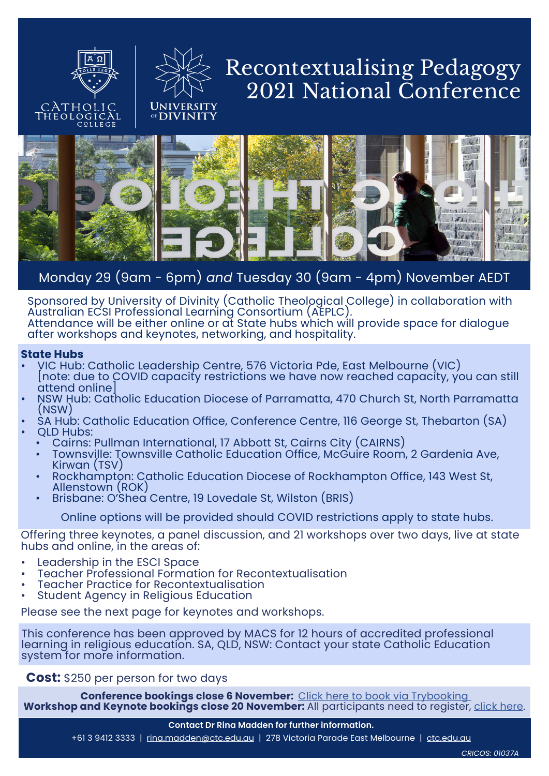



## Recontextualising Pedagogy 2021 National Conference



## Monday 29 (9am - 6pm) *and* Tuesday 30 (9am - 4pm) November AEDT

Sponsored by University of Divinity (Catholic Theological College) in collaboration with Australian ECSI Professional Learning Consortium (AEPLC). Attendance will be either online or at State hubs which will provide space for dialogue after workshops and keynotes, networking, and hospitality.

## **State Hubs**

- VIC Hub: Catholic Leadership Centre, 576 Victoria Pde, East Melbourne (VIC) [note: due to COVID capacity restrictions we have now reached capacity, you can still
- NSW Hub: Catholic Education Diocese of Parramatta, 470 Church St, North Parramatta<br>(NSW)
- SA Hub: Catholic Education Office, Conference Centre, 116 George St, Thebarton (SA)<br>QLD Hubs:<br>• Cairns: Pullman International, 17 Abbott St, Cairns City (CAIRNS)
	-
	- Townsville: Townsville Catholic Education Office, McGuire Room, 2 Gardenia Ave,<br>Kirwan (TSV)<br>Rockhampton: Catholic Education Diocese of Rockhampton Office, 143 West St,<br>Allenstown (ROK)<br>Brisbane: O'Shea Centre, 19 Lovedale
	-
	-

Online options will be provided should COVID restrictions apply to state hubs.

Offering three keynotes, a panel discussion, and 21 workshops over two days, live at state hubs and online, in the areas of:

- Leadership in the ESCI Space
- Teacher Professional Formation for Recontextualisation Teacher Practice for Recontextualisation
- 
- Student Agency in Religious Education

Please see the next page for keynotes and workshops.

This conference has been approved by MACS for 12 hours of accredited professional learning in religious education. SA, QLD, NSW: Contact your state Catholic Education system for more information.

**Cost:** \$250 per person for two days

**Conference bookings close 6 November:** [Click here to book via Trybooking](https://www.trybooking.com/BQHCS) **Workshop and Keynote bookings close 20 November:** All participants need to register, [click here.](https://ctc.edu.au/recontextualising-pedagogy-workshops/)

+61 3 9412 3333 | rina.madde[n@ctc.edu.au](mailto:rina.madden%40ctc.edu.au?subject=Recontextualising%20Pedagogy%20National%20Conference) | 278 Victoria Parade East Melbourne | [ctc.edu.au](http://www.ctc.edu.au)